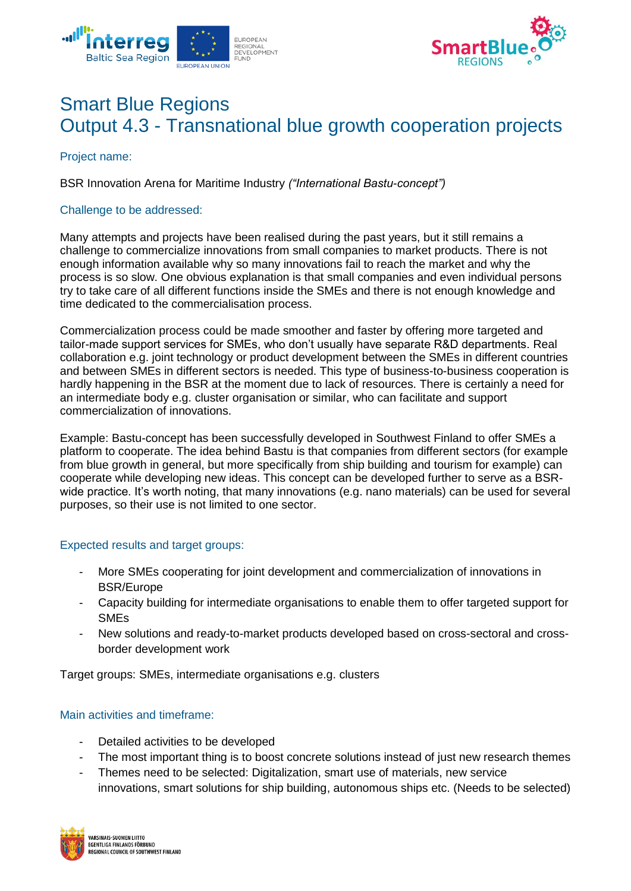



# Smart Blue Regions Output 4.3 - Transnational blue growth cooperation projects

Project name:

BSR Innovation Arena for Maritime Industry *("International Bastu-concept")*

## Challenge to be addressed:

Many attempts and projects have been realised during the past years, but it still remains a challenge to commercialize innovations from small companies to market products. There is not enough information available why so many innovations fail to reach the market and why the process is so slow. One obvious explanation is that small companies and even individual persons try to take care of all different functions inside the SMEs and there is not enough knowledge and time dedicated to the commercialisation process.

Commercialization process could be made smoother and faster by offering more targeted and tailor-made support services for SMEs, who don't usually have separate R&D departments. Real collaboration e.g. joint technology or product development between the SMEs in different countries and between SMEs in different sectors is needed. This type of business-to-business cooperation is hardly happening in the BSR at the moment due to lack of resources. There is certainly a need for an intermediate body e.g. cluster organisation or similar, who can facilitate and support commercialization of innovations.

Example: Bastu-concept has been successfully developed in Southwest Finland to offer SMEs a platform to cooperate. The idea behind Bastu is that companies from different sectors (for example from blue growth in general, but more specifically from ship building and tourism for example) can cooperate while developing new ideas. This concept can be developed further to serve as a BSRwide practice. It's worth noting, that many innovations (e.g. nano materials) can be used for several purposes, so their use is not limited to one sector.

## Expected results and target groups:

- More SMEs cooperating for joint development and commercialization of innovations in BSR/Europe
- Capacity building for intermediate organisations to enable them to offer targeted support for SMEs
- New solutions and ready-to-market products developed based on cross-sectoral and crossborder development work

Target groups: SMEs, intermediate organisations e.g. clusters

## Main activities and timeframe:

- Detailed activities to be developed
- The most important thing is to boost concrete solutions instead of just new research themes
- Themes need to be selected: Digitalization, smart use of materials, new service innovations, smart solutions for ship building, autonomous ships etc. (Needs to be selected)